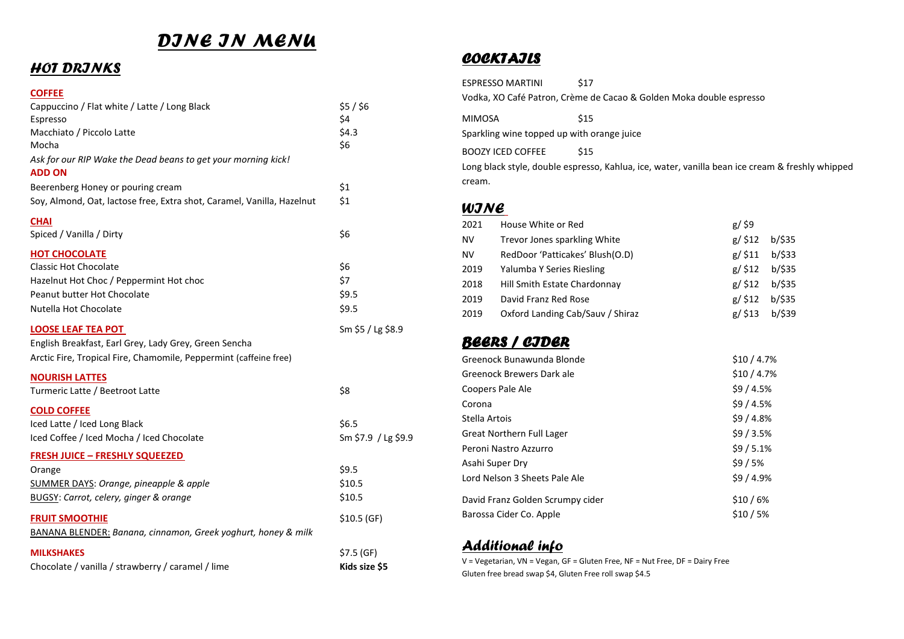# *DINE IN MENU*

# *HOT DRINKS*

#### **COFFEE**

| Cappuccino / Flat white / Latte / Long Black                                       | $$5/$ \$6           |
|------------------------------------------------------------------------------------|---------------------|
| Espresso                                                                           | \$4                 |
| Macchiato / Piccolo Latte<br>Mocha                                                 | \$4.3<br>\$6        |
| Ask for our RIP Wake the Dead beans to get your morning kick!<br><b>ADD ON</b>     |                     |
| Beerenberg Honey or pouring cream                                                  | \$1                 |
| Soy, Almond, Oat, lactose free, Extra shot, Caramel, Vanilla, Hazelnut             | \$1                 |
| <b>CHAI</b><br>Spiced / Vanilla / Dirty                                            | \$6                 |
| <b>HOT CHOCOLATE</b>                                                               |                     |
| <b>Classic Hot Chocolate</b>                                                       | \$6                 |
| Hazelnut Hot Choc / Peppermint Hot choc                                            | \$7                 |
| Peanut butter Hot Chocolate                                                        | \$9.5               |
| Nutella Hot Chocolate                                                              | \$9.5               |
| <b>LOOSE LEAF TEA POT</b><br>English Breakfast, Earl Grey, Lady Grey, Green Sencha | Sm \$5 / Lg \$8.9   |
| Arctic Fire, Tropical Fire, Chamomile, Peppermint (caffeine free)                  |                     |
| <b>NOURISH LATTES</b>                                                              |                     |
| Turmeric Latte / Beetroot Latte                                                    | \$8                 |
| <b>COLD COFFEE</b>                                                                 |                     |
| Iced Latte / Iced Long Black                                                       | \$6.5               |
| Iced Coffee / Iced Mocha / Iced Chocolate                                          | Sm \$7.9 / Lg \$9.9 |
| <b>FRESH JUICE - FRESHLY SQUEEZED</b>                                              |                     |
| Orange                                                                             | \$9.5               |
| SUMMER DAYS: Orange, pineapple & apple                                             | \$10.5              |
| BUGSY: Carrot, celery, ginger & orange                                             | \$10.5              |
| <b>FRUIT SMOOTHIE</b>                                                              | \$10.5 (GF)         |
| BANANA BLENDER: Banana, cinnamon, Greek yoghurt, honey & milk                      |                     |
| <b>MILKSHAKES</b>                                                                  | \$7.5(GF)           |
| Chocolate / vanilla / strawberry / caramel / lime                                  | Kids size \$5       |

### *COCKTAILS*

ESPRESSO MARTINI \$17 Vodka, XO Café Patron, Crème de Cacao & Golden Moka double espresso

MIMOSA \$15

Sparkling wine topped up with orange juice

BOOZY ICED COFFEE \$15

Long black style, double espresso, Kahlua, ice, water, vanilla bean ice cream & freshly whipped cream.

### *WINE*

| 2021 | House White or Red               | $g/$ \$9  |        |
|------|----------------------------------|-----------|--------|
| NV   | Trevor Jones sparkling White     | $g/$ \$12 | b/\$35 |
| NV   | RedDoor 'Patticakes' Blush(O.D)  | $g/$ \$11 | b/533  |
| 2019 | Yalumba Y Series Riesling        | $g/$ \$12 | b/\$35 |
| 2018 | Hill Smith Estate Chardonnay     | $g/$ \$12 | b/\$35 |
| 2019 | David Franz Red Rose             | $g/$ \$12 | b/\$35 |
| 2019 | Oxford Landing Cab/Sauv / Shiraz | $g/$ \$13 | b/\$39 |

# *BEERS / CIDER*

| Greenock Bunawunda Blonde        | \$10/4.7% |
|----------------------------------|-----------|
| Greenock Brewers Dark ale        | \$10/4.7% |
| <b>Coopers Pale Ale</b>          | \$9/4.5%  |
| Corona                           | \$9/4.5%  |
| Stella Artois                    | \$9/4.8%  |
| Great Northern Full Lager        | \$9/3.5%  |
| Peroni Nastro Azzurro            | \$9/5.1%  |
| Asahi Super Dry                  | \$9/5%    |
| Lord Nelson 3 Sheets Pale Ale    | \$9/4.9%  |
| David Franz Golden Scrumpy cider | \$10/6%   |
| Barossa Cider Co. Apple          | \$10/5%   |

# *Additional info*

V = Vegetarian, VN = Vegan, GF = Gluten Free, NF = Nut Free, DF = Dairy Free Gluten free bread swap \$4, Gluten Free roll swap \$4.5